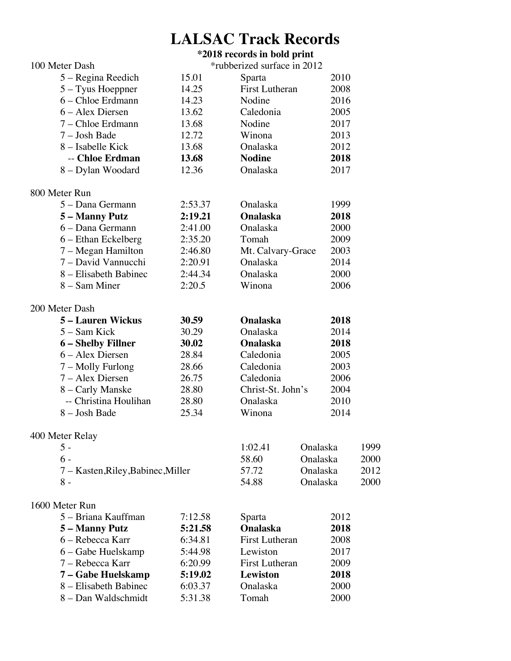# **LALSAC Track Records**

## **\*2018 records in bold print** 100 Meter Dash \*rubberized surface in 2012 5 – Regina Reedich 15.01 Sparta 2010 5 – Tyus Hoeppner 14.25 First Lutheran 2008 6 – Chloe Erdmann 14.23 Nodine 2016 6 – Alex Diersen 13.62 Caledonia 2005 7 – Chloe Erdmann 13.68 Nodine 2017 7 – Josh Bade 12.72 Winona 2013 8 – Isabelle Kick 13.68 Onalaska 2012 -- **Chloe Erdman 13.68 Nodine 2018** 8 – Dylan Woodard 12.36 Onalaska 2017 800 Meter Run 5 – Dana Germann 2:53.37 – Onalaska 1999<br>5 – Manny Putz 2:19.21 – Onalaska 2018 **5 – Manny Putz 2:19.21 Onalaska 2018** 6 – Dana Germann 2:41.00 Onalaska 2000 6 – Ethan Eckelberg 2:35.20 Tomah 2009 7 – Megan Hamilton 2:46.80 Mt. Calvary-Grace 2003 7 – David Vannucchi 2:20.91 Onalaska 2014 8 – Elisabeth Babinec 2:44.34 – Onalaska 2000<br>8 – Sam Miner 2:20.5 – Winona 2006 8 – Sam Miner 2:20.5 Winona 2006 200 Meter Dash **5 – Lauren Wickus 30.59 Onalaska 2018** 5 – Sam Kick 30.29 Onalaska 2014 **6 – Shelby Fillner 30.02 Onalaska 2018** 6 – Alex Diersen 28.84 Caledonia 2005 7 – Molly Furlong 28.66 Caledonia 2003 7 – Alex Diersen 26.75 Caledonia 2006 8 – Carly Manske 28.80 Christ-St. John's 2004 -- Christina Houlihan 28.80 Onalaska 2010 8 – Josh Bade 25.34 Winona 2014 400 Meter Relay 5 - 1:02.41 Onalaska 1999 6 - 58.60 Onalaska 2000 7 – Kasten,Riley,Babinec,Miller 57.72 Onalaska 2012 8 - 54.88 Onalaska 2000 1600 Meter Run 5 – Briana Kauffman 2:12.58 Sparta 2012<br>**5 – Manny Putz 5:21.58 Chalaska 2018 5 – Manny Putz 5:21.58 Onalaska 2018** 6 – Rebecca Karr 6:34.81 First Lutheran 2008 6 – Gabe Huelskamp 5:44.98 Lewiston 2017 7 – Rebecca Karr 6:20.99 First Lutheran 2009 **7 – Gabe Huelskamp 5:19.02 Lewiston 2018** 8 – Elisabeth Babinec 6:03.37 Onalaska 2000

8 – Dan Waldschmidt 5:31.38 Tomah 2000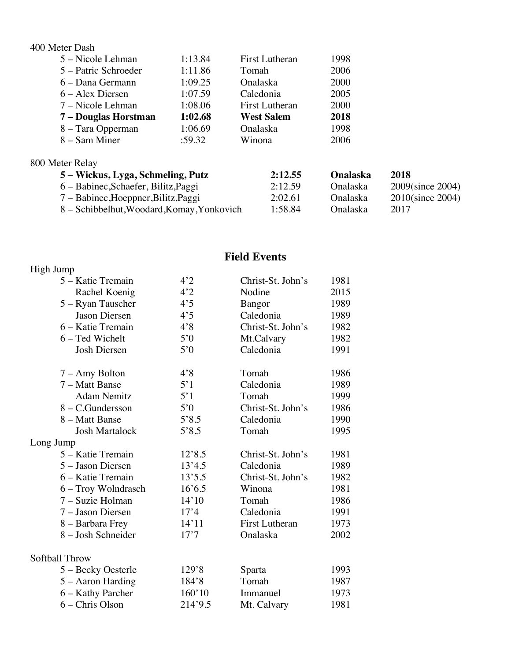#### 400 Meter Dash

| 1:13.84 | <b>First Lutheran</b> | 1998 |
|---------|-----------------------|------|
| 1:11.86 | Tomah                 | 2006 |
| 1:09.25 | Onalaska              | 2000 |
| 1:07.59 | Caledonia             | 2005 |
| 1:08.06 | <b>First Lutheran</b> | 2000 |
| 1:02.68 | <b>West Salem</b>     | 2018 |
| 1:06.69 | Onalaska              | 1998 |
| :59.32  | Winona                | 2006 |
|         |                       |      |

## 800 Meter Relay

| 5 – Wickus, Lyga, Schmeling, Putz          | 2:12.55 | Onalaska        | 2018             |
|--------------------------------------------|---------|-----------------|------------------|
| 6 – Babinec, Schaefer, Bilitz, Paggi       | 2:12.59 | <b>Onalaska</b> | 2009(since 2004) |
| 7 – Babinec, Hoeppner, Bilitz, Paggi       | 2:02.61 | <b>Onalaska</b> | 2010(since 2004) |
| 8 – Schibbelhut, Woodard, Komay, Yonkovich | 1:58.84 | Onalaska        | 2017             |

# **Field Events**

| High Jump             |         |                       |      |
|-----------------------|---------|-----------------------|------|
| 5 – Katie Tremain     | 4'2     | Christ-St. John's     | 1981 |
| Rachel Koenig         | 4'2     | Nodine                | 2015 |
| 5 – Ryan Tauscher     | 4'5     | Bangor                | 1989 |
| Jason Diersen         | 4'5     | Caledonia             | 1989 |
| 6 - Katie Tremain     | 4'8     | Christ-St. John's     | 1982 |
| 6 - Ted Wichelt       | 5'0     | Mt.Calvary            | 1982 |
| <b>Josh Diersen</b>   | 5'0     | Caledonia             | 1991 |
| 7 – Amy Bolton        | 4'8     | Tomah                 | 1986 |
| 7 – Matt Banse        | 5'1     | Caledonia             | 1989 |
| <b>Adam Nemitz</b>    | 5'1     | Tomah                 | 1999 |
| 8 – C.Gundersson      | 5'0     | Christ-St. John's     | 1986 |
| 8 - Matt Banse        | 5'8.5   | Caledonia             | 1990 |
| <b>Josh Martalock</b> | 5'8.5   | Tomah                 | 1995 |
| Long Jump             |         |                       |      |
| 5 – Katie Tremain     | 12'8.5  | Christ-St. John's     | 1981 |
| 5 - Jason Diersen     | 13'4.5  | Caledonia             | 1989 |
| 6 - Katie Tremain     | 13'5.5  | Christ-St. John's     | 1982 |
| 6 – Troy Wolndrasch   | 16'6.5  | Winona                | 1981 |
| 7 - Suzie Holman      | 14'10   | Tomah                 | 1986 |
| 7 - Jason Diersen     | 17'4    | Caledonia             | 1991 |
| 8 - Barbara Frey      | 14'11   | <b>First Lutheran</b> | 1973 |
| 8 - Josh Schneider    | 17'7    | Onalaska              | 2002 |
| Softball Throw        |         |                       |      |
| 5 – Becky Oesterle    | 129'8   | Sparta                | 1993 |
| 5 – Aaron Harding     | 184'8   | Tomah                 | 1987 |
| 6 - Kathy Parcher     | 160'10  | Immanuel              | 1973 |
| 6 – Chris Olson       | 214'9.5 | Mt. Calvary           | 1981 |